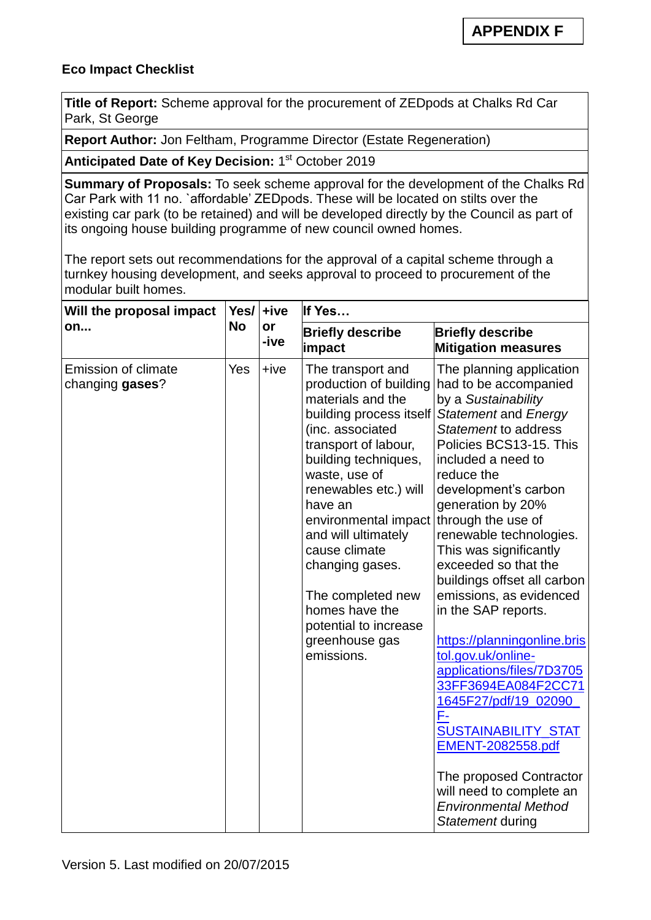## **Eco Impact Checklist**

**Title of Report:** Scheme approval for the procurement of ZEDpods at Chalks Rd Car Park, St George

**Report Author:** Jon Feltham, Programme Director (Estate Regeneration)

Anticipated Date of Key Decision: 1<sup>st</sup> October 2019

**Summary of Proposals:** To seek scheme approval for the development of the Chalks Rd Car Park with 11 no. `affordable' ZEDpods. These will be located on stilts over the existing car park (to be retained) and will be developed directly by the Council as part of its ongoing house building programme of new council owned homes.

The report sets out recommendations for the approval of a capital scheme through a turnkey housing development, and seeks approval to proceed to procurement of the modular built homes.

| Will the proposal impact<br>on                | Yes/<br><b>No</b> | +ive<br>or<br>-ive | If Yes                                                                                                                                                                                                                                                                                                                                                                                                  |                                                                                                                                                                                                                                                                                                                                                                                                                                                                                                                                                                                                                                                                                                                              |  |
|-----------------------------------------------|-------------------|--------------------|---------------------------------------------------------------------------------------------------------------------------------------------------------------------------------------------------------------------------------------------------------------------------------------------------------------------------------------------------------------------------------------------------------|------------------------------------------------------------------------------------------------------------------------------------------------------------------------------------------------------------------------------------------------------------------------------------------------------------------------------------------------------------------------------------------------------------------------------------------------------------------------------------------------------------------------------------------------------------------------------------------------------------------------------------------------------------------------------------------------------------------------------|--|
|                                               |                   |                    | <b>Briefly describe</b><br>impact                                                                                                                                                                                                                                                                                                                                                                       | <b>Briefly describe</b><br><b>Mitigation measures</b>                                                                                                                                                                                                                                                                                                                                                                                                                                                                                                                                                                                                                                                                        |  |
| <b>Emission of climate</b><br>changing gases? | Yes               | $+ive$             | The transport and<br>production of building<br>materials and the<br>building process itself<br>(inc. associated<br>transport of labour,<br>building techniques,<br>waste, use of<br>renewables etc.) will<br>have an<br>environmental impact<br>and will ultimately<br>cause climate<br>changing gases.<br>The completed new<br>homes have the<br>potential to increase<br>greenhouse gas<br>emissions. | The planning application<br>had to be accompanied<br>by a Sustainability<br>Statement and Energy<br>Statement to address<br>Policies BCS13-15. This<br>included a need to<br>reduce the<br>development's carbon<br>generation by 20%<br>through the use of<br>renewable technologies.<br>This was significantly<br>exceeded so that the<br>buildings offset all carbon<br>emissions, as evidenced<br>in the SAP reports.<br>https://planningonline.bris<br>tol.gov.uk/online-<br>applications/files/7D3705<br>33FF3694EA084F2CC71<br>1645F27/pdf/19_02090<br>F-<br><b>SUSTAINABILITY_STAT</b><br>EMENT-2082558.pdf<br>The proposed Contractor<br>will need to complete an<br><b>Environmental Method</b><br>Statement during |  |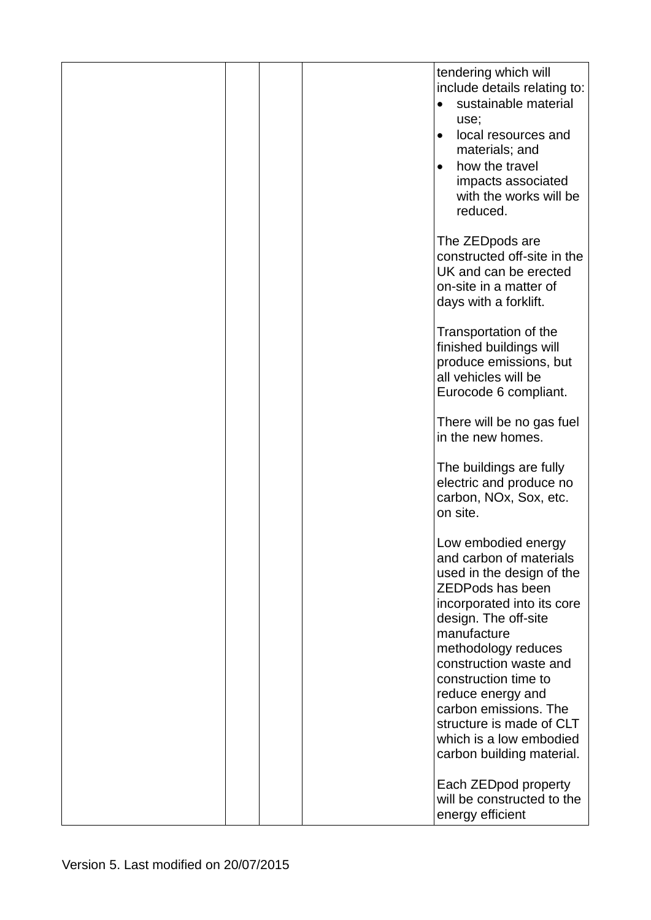|  | tendering which will<br>include details relating to:<br>sustainable material<br>use;<br>local resources and<br>$\bullet$<br>materials; and<br>how the travel<br>$\bullet$<br>impacts associated<br>with the works will be<br>reduced.                                                                                                                                                  |
|--|----------------------------------------------------------------------------------------------------------------------------------------------------------------------------------------------------------------------------------------------------------------------------------------------------------------------------------------------------------------------------------------|
|  | The ZEDpods are<br>constructed off-site in the<br>UK and can be erected<br>on-site in a matter of<br>days with a forklift.                                                                                                                                                                                                                                                             |
|  | Transportation of the<br>finished buildings will<br>produce emissions, but<br>all vehicles will be<br>Eurocode 6 compliant.                                                                                                                                                                                                                                                            |
|  | There will be no gas fuel<br>in the new homes.                                                                                                                                                                                                                                                                                                                                         |
|  | The buildings are fully<br>electric and produce no<br>carbon, NOx, Sox, etc.<br>on site.                                                                                                                                                                                                                                                                                               |
|  | Low embodied energy<br>and carbon of materials<br>used in the design of the<br><b>ZEDPods has been</b><br>incorporated into its core<br>design. The off-site<br>manufacture<br>methodology reduces<br>construction waste and<br>construction time to<br>reduce energy and<br>carbon emissions. The<br>structure is made of CLT<br>which is a low embodied<br>carbon building material. |
|  | Each ZEDpod property<br>will be constructed to the<br>energy efficient                                                                                                                                                                                                                                                                                                                 |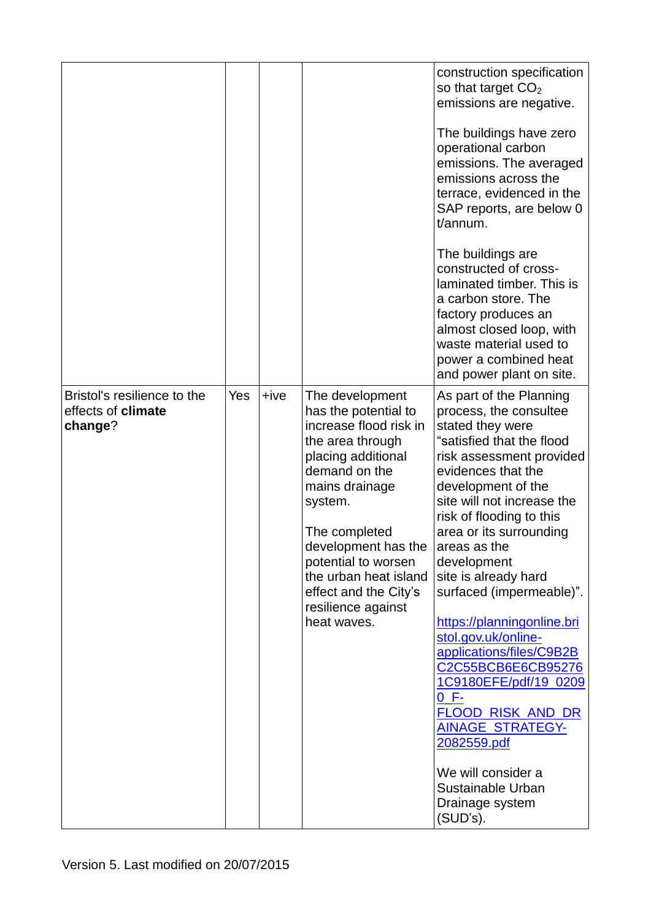|                                                              |     |      |                                                                                                                                                                                                                                                                                                                 | construction specification<br>so that target $CO2$<br>emissions are negative.<br>The buildings have zero<br>operational carbon<br>emissions. The averaged<br>emissions across the                                                                                                                                                                                                                                                                                                                                                                            |
|--------------------------------------------------------------|-----|------|-----------------------------------------------------------------------------------------------------------------------------------------------------------------------------------------------------------------------------------------------------------------------------------------------------------------|--------------------------------------------------------------------------------------------------------------------------------------------------------------------------------------------------------------------------------------------------------------------------------------------------------------------------------------------------------------------------------------------------------------------------------------------------------------------------------------------------------------------------------------------------------------|
|                                                              |     |      |                                                                                                                                                                                                                                                                                                                 | terrace, evidenced in the<br>SAP reports, are below 0<br>t/annum.                                                                                                                                                                                                                                                                                                                                                                                                                                                                                            |
|                                                              |     |      |                                                                                                                                                                                                                                                                                                                 | The buildings are<br>constructed of cross-<br>laminated timber. This is<br>a carbon store. The<br>factory produces an<br>almost closed loop, with<br>waste material used to<br>power a combined heat<br>and power plant on site.                                                                                                                                                                                                                                                                                                                             |
| Bristol's resilience to the<br>effects of climate<br>change? | Yes | +ive | The development<br>has the potential to<br>increase flood risk in<br>the area through<br>placing additional<br>demand on the<br>mains drainage<br>system.<br>The completed<br>development has the<br>potential to worsen<br>the urban heat island<br>effect and the City's<br>resilience against<br>heat waves. | As part of the Planning<br>process, the consultee<br>stated they were<br>"satisfied that the flood<br>risk assessment provided<br>evidences that the<br>development of the<br>site will not increase the<br>risk of flooding to this<br>area or its surrounding<br>areas as the<br>development<br>site is already hard<br>surfaced (impermeable)".<br>https://planningonline.bri<br>stol.gov.uk/online-<br>applications/files/C9B2B<br>C2C55BCB6E6CB95276<br>1C9180EFE/pdf/19_0209<br>$0 F -$<br><b>FLOOD RISK AND DR</b><br>AINAGE_STRATEGY-<br>2082559.pdf |
|                                                              |     |      |                                                                                                                                                                                                                                                                                                                 | We will consider a<br>Sustainable Urban<br>Drainage system<br>(SUD's).                                                                                                                                                                                                                                                                                                                                                                                                                                                                                       |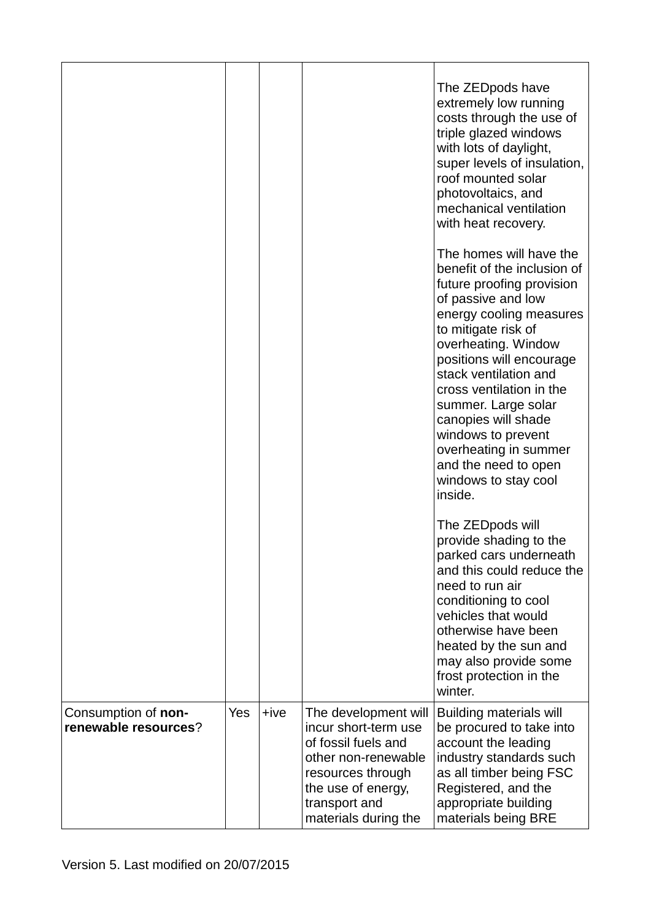|                                             |     |        |                                                                                                                                                                                | The ZEDpods have<br>extremely low running<br>costs through the use of<br>triple glazed windows<br>with lots of daylight,<br>super levels of insulation,<br>roof mounted solar<br>photovoltaics, and<br>mechanical ventilation<br>with heat recovery.                                                                                                                                                                        |
|---------------------------------------------|-----|--------|--------------------------------------------------------------------------------------------------------------------------------------------------------------------------------|-----------------------------------------------------------------------------------------------------------------------------------------------------------------------------------------------------------------------------------------------------------------------------------------------------------------------------------------------------------------------------------------------------------------------------|
|                                             |     |        |                                                                                                                                                                                | The homes will have the<br>benefit of the inclusion of<br>future proofing provision<br>of passive and low<br>energy cooling measures<br>to mitigate risk of<br>overheating. Window<br>positions will encourage<br>stack ventilation and<br>cross ventilation in the<br>summer. Large solar<br>canopies will shade<br>windows to prevent<br>overheating in summer<br>and the need to open<br>windows to stay cool<br>inside. |
|                                             |     |        |                                                                                                                                                                                | The ZEDpods will<br>provide shading to the<br>parked cars underneath<br>and this could reduce the<br>need to run air<br>conditioning to cool<br>vehicles that would<br>otherwise have been<br>heated by the sun and<br>may also provide some<br>frost protection in the<br>winter.                                                                                                                                          |
| Consumption of non-<br>renewable resources? | Yes | $+ive$ | The development will<br>incur short-term use<br>of fossil fuels and<br>other non-renewable<br>resources through<br>the use of energy,<br>transport and<br>materials during the | <b>Building materials will</b><br>be procured to take into<br>account the leading<br>industry standards such<br>as all timber being FSC<br>Registered, and the<br>appropriate building<br>materials being BRE                                                                                                                                                                                                               |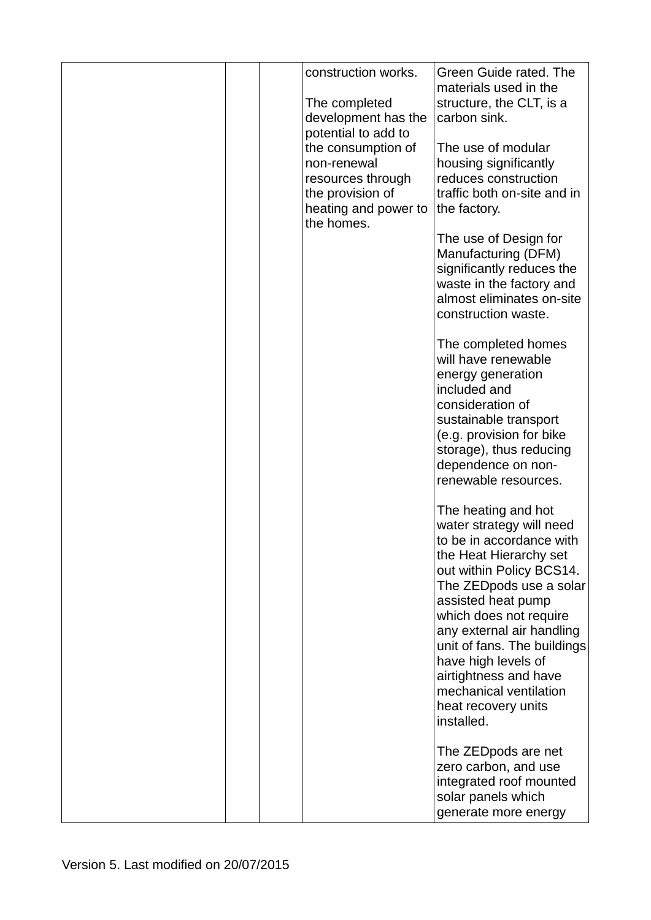|  | construction works.<br>The completed<br>development has the<br>potential to add to<br>the consumption of<br>non-renewal<br>resources through<br>the provision of<br>heating and power to<br>the homes. | Green Guide rated. The<br>materials used in the<br>structure, the CLT, is a<br>carbon sink.<br>The use of modular<br>housing significantly<br>reduces construction<br>traffic both on-site and in<br>the factory.<br>The use of Design for<br>Manufacturing (DFM)<br>significantly reduces the<br>waste in the factory and<br>almost eliminates on-site<br>construction waste.<br>The completed homes<br>will have renewable<br>energy generation<br>included and<br>consideration of<br>sustainable transport<br>(e.g. provision for bike<br>storage), thus reducing<br>dependence on non-<br>renewable resources.<br>The heating and hot<br>water strategy will need<br>to be in accordance with<br>the Heat Hierarchy set<br>out within Policy BCS14.<br>The ZEDpods use a solar<br>assisted heat pump<br>which does not require |
|--|--------------------------------------------------------------------------------------------------------------------------------------------------------------------------------------------------------|-------------------------------------------------------------------------------------------------------------------------------------------------------------------------------------------------------------------------------------------------------------------------------------------------------------------------------------------------------------------------------------------------------------------------------------------------------------------------------------------------------------------------------------------------------------------------------------------------------------------------------------------------------------------------------------------------------------------------------------------------------------------------------------------------------------------------------------|
|  |                                                                                                                                                                                                        | any external air handling<br>unit of fans. The buildings<br>have high levels of<br>airtightness and have<br>mechanical ventilation<br>heat recovery units                                                                                                                                                                                                                                                                                                                                                                                                                                                                                                                                                                                                                                                                           |
|  |                                                                                                                                                                                                        | installed.<br>The ZEDpods are net<br>zero carbon, and use<br>integrated roof mounted<br>solar panels which<br>generate more energy                                                                                                                                                                                                                                                                                                                                                                                                                                                                                                                                                                                                                                                                                                  |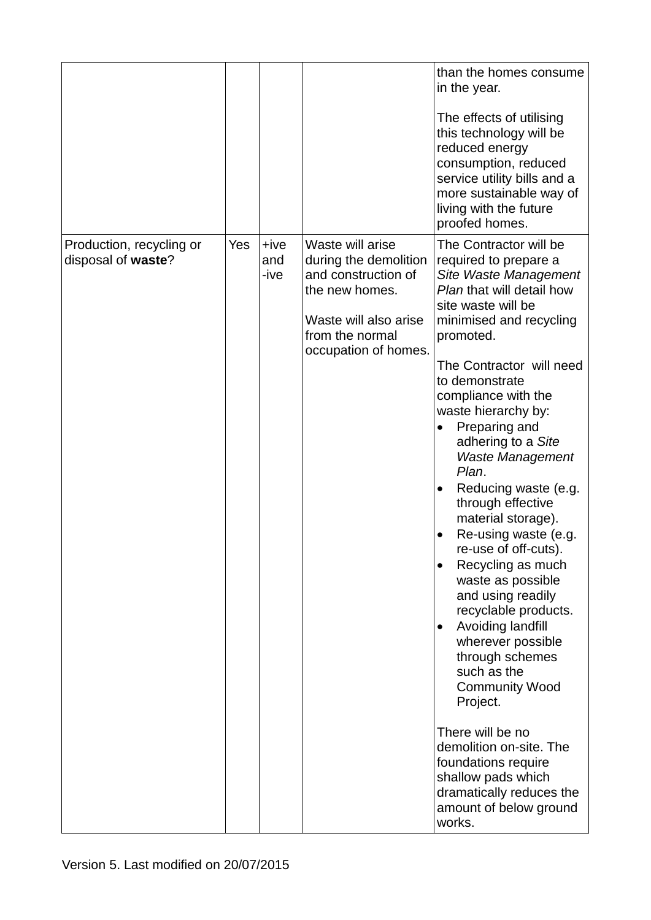|                                                |     |                       |                                                                                                                                                        | than the homes consume<br>in the year.<br>The effects of utilising<br>this technology will be<br>reduced energy<br>consumption, reduced<br>service utility bills and a<br>more sustainable way of<br>living with the future<br>proofed homes.                                                                                                                                                                                                                                                                                                                                                                                                                                                                                                                                                                                                                          |
|------------------------------------------------|-----|-----------------------|--------------------------------------------------------------------------------------------------------------------------------------------------------|------------------------------------------------------------------------------------------------------------------------------------------------------------------------------------------------------------------------------------------------------------------------------------------------------------------------------------------------------------------------------------------------------------------------------------------------------------------------------------------------------------------------------------------------------------------------------------------------------------------------------------------------------------------------------------------------------------------------------------------------------------------------------------------------------------------------------------------------------------------------|
| Production, recycling or<br>disposal of waste? | Yes | $+ive$<br>and<br>-ive | Waste will arise<br>during the demolition<br>and construction of<br>the new homes.<br>Waste will also arise<br>from the normal<br>occupation of homes. | The Contractor will be<br>required to prepare a<br>Site Waste Management<br>Plan that will detail how<br>site waste will be<br>minimised and recycling<br>promoted.<br>The Contractor will need<br>to demonstrate<br>compliance with the<br>waste hierarchy by:<br>Preparing and<br>adhering to a Site<br>Waste Management<br>Plan.<br>Reducing waste (e.g.<br>$\bullet$<br>through effective<br>material storage).<br>Re-using waste (e.g.<br>٠<br>re-use of off-cuts).<br>Recycling as much<br>$\bullet$<br>waste as possible<br>and using readily<br>recyclable products.<br>Avoiding landfill<br>$\bullet$<br>wherever possible<br>through schemes<br>such as the<br><b>Community Wood</b><br>Project.<br>There will be no<br>demolition on-site. The<br>foundations require<br>shallow pads which<br>dramatically reduces the<br>amount of below ground<br>works. |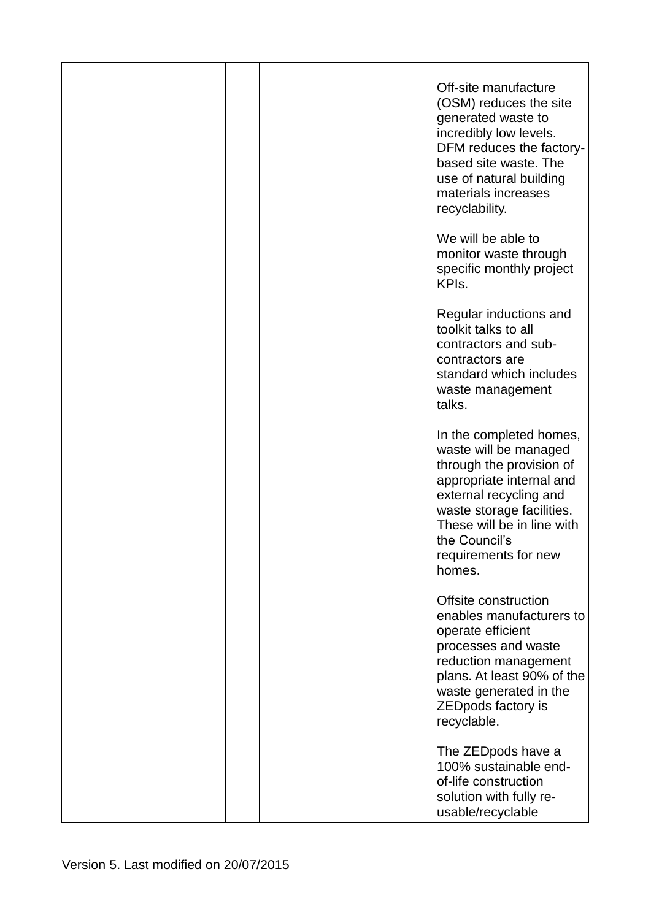|  | Off-site manufacture<br>(OSM) reduces the site<br>generated waste to<br>incredibly low levels.<br>DFM reduces the factory-<br>based site waste. The<br>use of natural building<br>materials increases<br>recyclability.                          |
|--|--------------------------------------------------------------------------------------------------------------------------------------------------------------------------------------------------------------------------------------------------|
|  | We will be able to<br>monitor waste through<br>specific monthly project<br>KPI <sub>s</sub> .                                                                                                                                                    |
|  | Regular inductions and<br>toolkit talks to all<br>contractors and sub-<br>contractors are<br>standard which includes<br>waste management<br>talks.                                                                                               |
|  | In the completed homes,<br>waste will be managed<br>through the provision of<br>appropriate internal and<br>external recycling and<br>waste storage facilities.<br>These will be in line with<br>the Council's<br>requirements for new<br>homes. |
|  | Offsite construction<br>enables manufacturers to<br>operate efficient<br>processes and waste<br>reduction management<br>plans. At least 90% of the<br>waste generated in the<br>ZEDpods factory is<br>recyclable.                                |
|  | The ZEDpods have a<br>100% sustainable end-<br>of-life construction<br>solution with fully re-<br>usable/recyclable                                                                                                                              |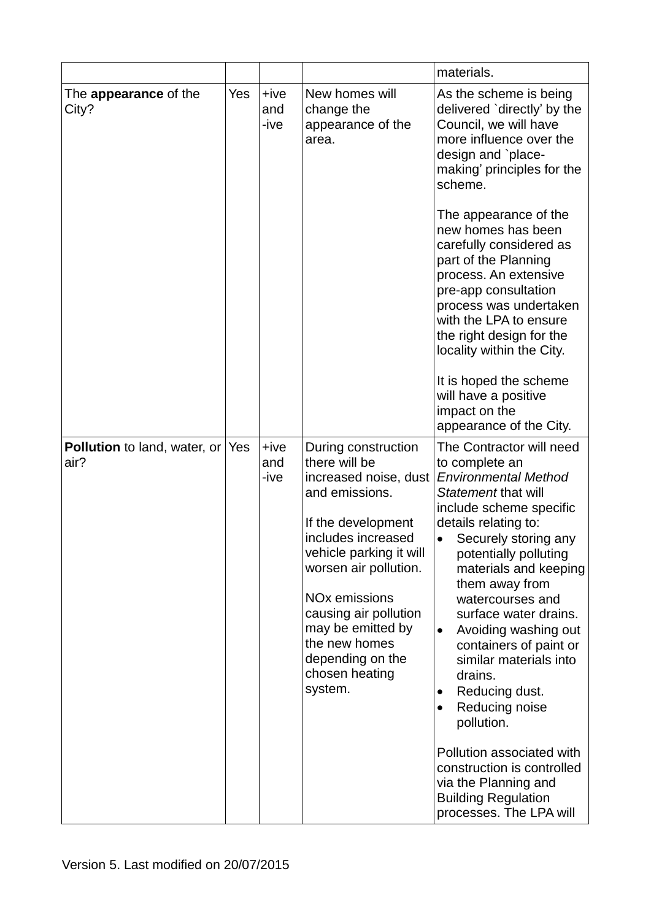|                                             |     |                       |                                                                                                                                                                                                                                                                                                                                    | materials.                                                                                                                                                                                                                                                                                                                                                                                                                                                                                                                                                                                                               |
|---------------------------------------------|-----|-----------------------|------------------------------------------------------------------------------------------------------------------------------------------------------------------------------------------------------------------------------------------------------------------------------------------------------------------------------------|--------------------------------------------------------------------------------------------------------------------------------------------------------------------------------------------------------------------------------------------------------------------------------------------------------------------------------------------------------------------------------------------------------------------------------------------------------------------------------------------------------------------------------------------------------------------------------------------------------------------------|
| The <b>appearance</b> of the<br>City?       | Yes | $+ive$<br>and<br>-ive | New homes will<br>change the<br>appearance of the<br>area.                                                                                                                                                                                                                                                                         | As the scheme is being<br>delivered `directly' by the<br>Council, we will have<br>more influence over the<br>design and `place-<br>making' principles for the<br>scheme.                                                                                                                                                                                                                                                                                                                                                                                                                                                 |
|                                             |     |                       |                                                                                                                                                                                                                                                                                                                                    | The appearance of the<br>new homes has been<br>carefully considered as<br>part of the Planning<br>process. An extensive<br>pre-app consultation<br>process was undertaken<br>with the LPA to ensure<br>the right design for the<br>locality within the City.<br>It is hoped the scheme<br>will have a positive<br>impact on the<br>appearance of the City.                                                                                                                                                                                                                                                               |
| <b>Pollution</b> to land, water, or<br>air? | Yes | $+ive$<br>and<br>-ive | During construction<br>there will be<br>increased noise, dust<br>and emissions.<br>If the development<br>includes increased<br>vehicle parking it will<br>worsen air pollution.<br><b>NO<sub>x</sub></b> emissions<br>causing air pollution<br>may be emitted by<br>the new homes<br>depending on the<br>chosen heating<br>system. | The Contractor will need<br>to complete an<br><b>Environmental Method</b><br>Statement that will<br>include scheme specific<br>details relating to:<br>Securely storing any<br>$\bullet$<br>potentially polluting<br>materials and keeping<br>them away from<br>watercourses and<br>surface water drains.<br>Avoiding washing out<br>$\bullet$<br>containers of paint or<br>similar materials into<br>drains.<br>Reducing dust.<br>Reducing noise<br>$\bullet$<br>pollution.<br>Pollution associated with<br>construction is controlled<br>via the Planning and<br><b>Building Regulation</b><br>processes. The LPA will |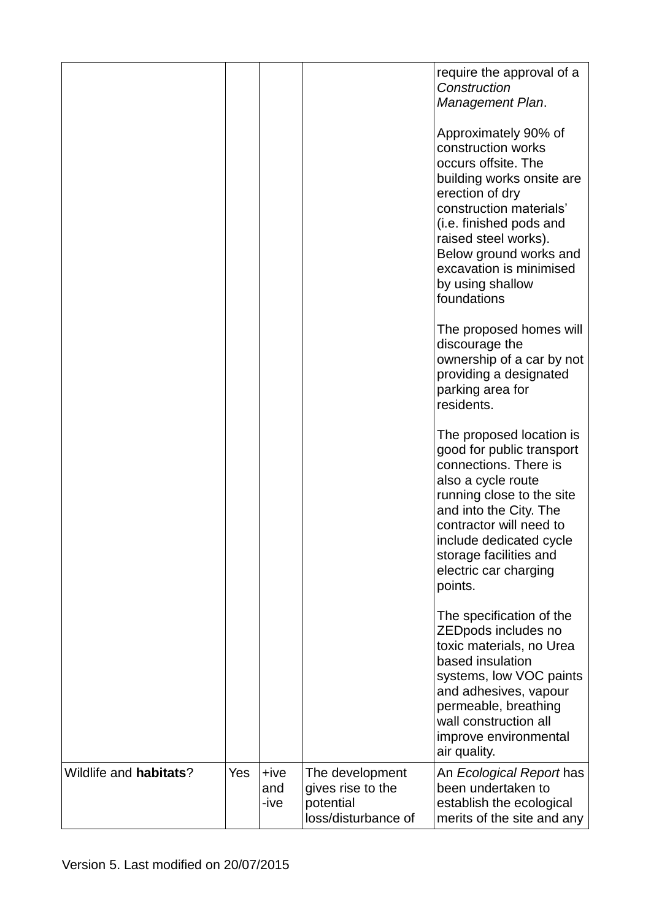|                                |     |                       |                                                                          | require the approval of a<br>Construction<br>Management Plan.                                                                                                                                                                                                                           |
|--------------------------------|-----|-----------------------|--------------------------------------------------------------------------|-----------------------------------------------------------------------------------------------------------------------------------------------------------------------------------------------------------------------------------------------------------------------------------------|
|                                |     |                       |                                                                          | Approximately 90% of<br>construction works<br>occurs offsite. The<br>building works onsite are<br>erection of dry<br>construction materials'<br>(i.e. finished pods and<br>raised steel works).<br>Below ground works and<br>excavation is minimised<br>by using shallow<br>foundations |
|                                |     |                       |                                                                          | The proposed homes will<br>discourage the<br>ownership of a car by not<br>providing a designated<br>parking area for<br>residents.                                                                                                                                                      |
|                                |     |                       |                                                                          | The proposed location is<br>good for public transport<br>connections. There is<br>also a cycle route<br>running close to the site<br>and into the City. The<br>contractor will need to<br>include dedicated cycle<br>storage facilities and<br>electric car charging<br>points.         |
|                                |     |                       |                                                                          | The specification of the<br>ZEDpods includes no<br>toxic materials, no Urea<br>based insulation<br>systems, low VOC paints<br>and adhesives, vapour<br>permeable, breathing<br>wall construction all<br>improve environmental<br>air quality.                                           |
| Wildlife and <b>habitats</b> ? | Yes | $+ive$<br>and<br>-ive | The development<br>gives rise to the<br>potential<br>loss/disturbance of | An Ecological Report has<br>been undertaken to<br>establish the ecological<br>merits of the site and any                                                                                                                                                                                |